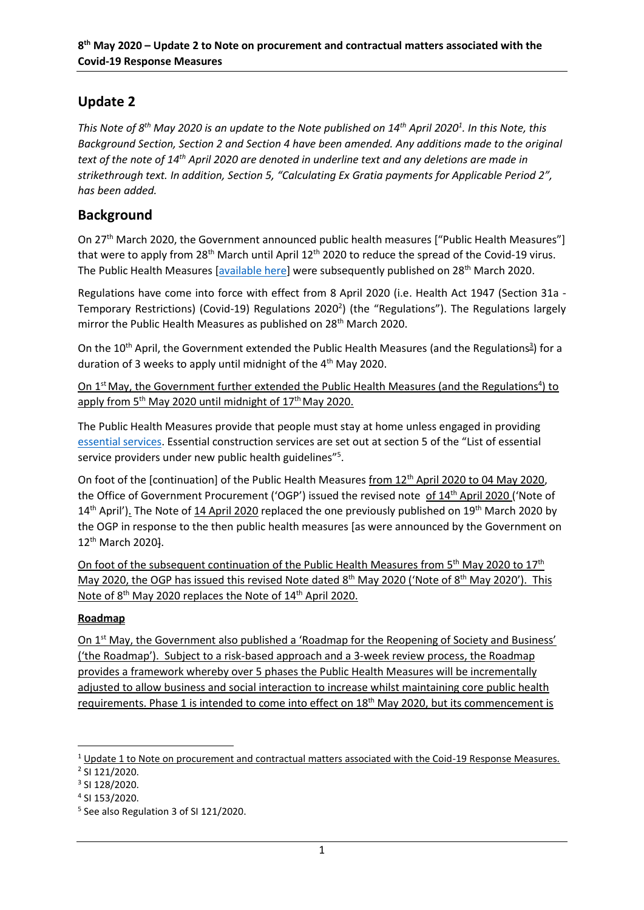# **Update 2**

*This Note of 8 th May 2020 is an update to the Note published on 14th April 2020<sup>1</sup> . In this Note, this Background Section, Section 2 and Section 4 have been amended. Any additions made to the original text of the note of 14th April 2020 are denoted in underline text and any deletions are made in strikethrough text. In addition, Section 5, "Calculating Ex Gratia payments for Applicable Period 2", has been added.* 

# **Background**

On 27<sup>th</sup> March 2020, the Government announced public health measures ["Public Health Measures"] that were to apply from  $28<sup>th</sup>$  March until April  $12<sup>th</sup>$  2020 to reduce the spread of the Covid-19 virus. The Public Health Measures [\[available here\]](https://www.gov.ie/en/publication/cf9b0d-new-public-health-measures-effective-now-to-prevent-further-spread-o/) were subsequently published on 28<sup>th</sup> March 2020.

Regulations have come into force with effect from 8 April 2020 (i.e. Health Act 1947 (Section 31a - Temporary Restrictions) (Covid-19) Regulations 2020<sup>2</sup>) (the "Regulations"). The Regulations largely mirror the Public Health Measures as published on 28<sup>th</sup> March 2020.

On the 10<sup>th</sup> April, the Government extended the Public Health Measures (and the Regulations<sup>3</sup>) for a duration of 3 weeks to apply until midnight of the 4<sup>th</sup> May 2020.

On 1<sup>st</sup> May, the Government further extended the Public Health Measures (and the Regulations<sup>4</sup>) to apply from 5<sup>th</sup> May 2020 until midnight of 17<sup>th</sup> May 2020.

The Public Health Measures provide that people must stay at home unless engaged in providing [essential services.](https://www.gov.ie/en/publication/dfeb8f-list-of-essential-service-providers-under-new-public-health-guidelin/#construction) Essential construction services are set out at section 5 of the "List of essential service providers under new public health guidelines"<sup>5</sup>.

On foot of the [continuation] of the Public Health Measures from 12<sup>th</sup> April 2020 to 04 May 2020, the Office of Government Procurement ('OGP') issued the revised note of 14th April 2020 ('Note of 14<sup>th</sup> April'). The Note of 14 April 2020 replaced the one previously published on 19<sup>th</sup> March 2020 by the OGP in response to the then public health measures [as were announced by the Government on 12th March 2020].

On foot of the subsequent continuation of the Public Health Measures from 5<sup>th</sup> May 2020 to 17<sup>th</sup> May 2020, the OGP has issued this revised Note dated 8<sup>th</sup> May 2020 ('Note of 8<sup>th</sup> May 2020'). This Note of 8<sup>th</sup> May 2020 replaces the Note of 14<sup>th</sup> April 2020.

## **Roadmap**

On 1<sup>st</sup> May, the Government also published a 'Roadmap for the Reopening of Society and Business' ('the Roadmap'). Subject to a risk-based approach and a 3-week review process, the Roadmap provides a framework whereby over 5 phases the Public Health Measures will be incrementally adjusted to allow business and social interaction to increase whilst maintaining core public health requirements. Phase 1 is intended to come into effect on 18<sup>th</sup> May 2020, but its commencement is

**.** 

<sup>&</sup>lt;sup>1</sup> Update 1 to Note on procurement and contractual matters associated with the Coid-19 Response Measures. <sup>2</sup> SI 121/2020.

<sup>3</sup> SI 128/2020.

<sup>4</sup> SI 153/2020.

<sup>5</sup> See also Regulation 3 of SI 121/2020.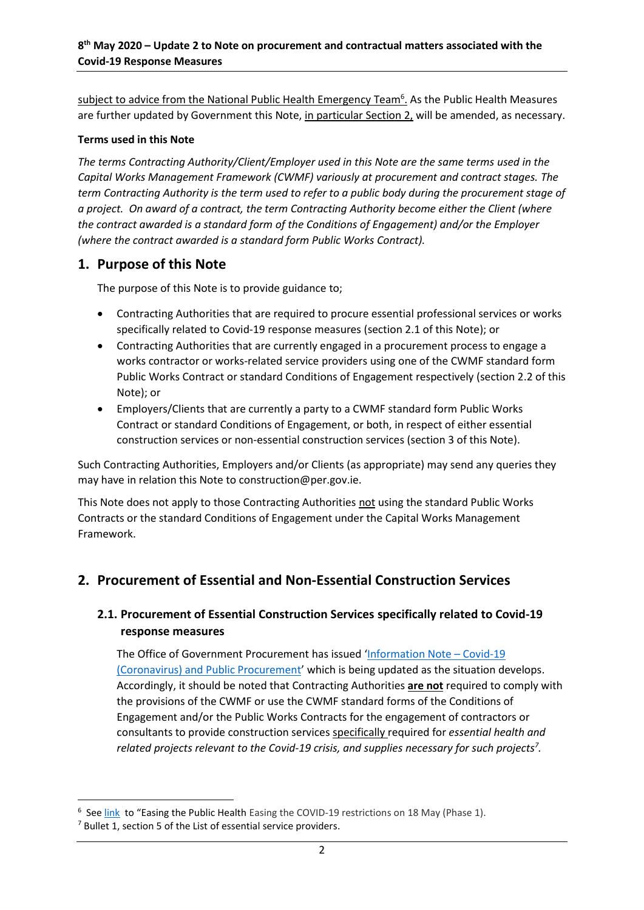subject to advice from the National Public Health Emergency Team<sup>6</sup>. As the Public Health Measures are further updated by Government this Note, in particular Section 2, will be amended, as necessary.

### **Terms used in this Note**

*The terms Contracting Authority/Client/Employer used in this Note are the same terms used in the Capital Works Management Framework (CWMF) variously at procurement and contract stages. The term Contracting Authority is the term used to refer to a public body during the procurement stage of a project. On award of a contract, the term Contracting Authority become either the Client (where the contract awarded is a standard form of the Conditions of Engagement) and/or the Employer (where the contract awarded is a standard form Public Works Contract).* 

## **1. Purpose of this Note**

The purpose of this Note is to provide guidance to;

- Contracting Authorities that are required to procure essential professional services or works specifically related to Covid-19 response measures (section 2.1 of this Note); or
- Contracting Authorities that are currently engaged in a procurement process to engage a works contractor or works-related service providers using one of the CWMF standard form Public Works Contract or standard Conditions of Engagement respectively (section 2.2 of this Note); or
- Employers/Clients that are currently a party to a CWMF standard form Public Works Contract or standard Conditions of Engagement, or both, in respect of either essential construction services or non-essential construction services (section 3 of this Note).

Such Contracting Authorities, Employers and/or Clients (as appropriate) may send any queries they may have in relation this Note to construction@per.gov.ie.

This Note does not apply to those Contracting Authorities not using the standard Public Works Contracts or the standard Conditions of Engagement under the Capital Works Management Framework.

## **2. Procurement of Essential and Non-Essential Construction Services**

## **2.1. Procurement of Essential Construction Services specifically related to Covid-19 response measures**

The Office of Government Procurement has issued '[Information Note](https://ogp.gov.ie/information-note-covid-19-coronavirus-and-public-procurement/) – Covid-19 [\(Coronavirus\) and Public Procurement](https://ogp.gov.ie/information-note-covid-19-coronavirus-and-public-procurement/)' which is being updated as the situation develops. Accordingly, it should be noted that Contracting Authorities **are not** required to comply with the provisions of the CWMF or use the CWMF standard forms of the Conditions of Engagement and/or the Public Works Contracts for the engagement of contractors or consultants to provide construction services specifically required for *essential health and related projects relevant to the Covid-19 crisis, and supplies necessary for such projects<sup>7</sup> .*

1

<sup>&</sup>lt;sup>6</sup> Se[e link](https://www.gov.ie/en/publication/ad5dd0-easing-the-covid-19-restrictions-on-may-18-phase-1/#introduction) to "Easing the Public Health Easing the COVID-19 restrictions on 18 May (Phase 1).

 $<sup>7</sup>$  Bullet 1, section 5 of the List of essential service providers.</sup>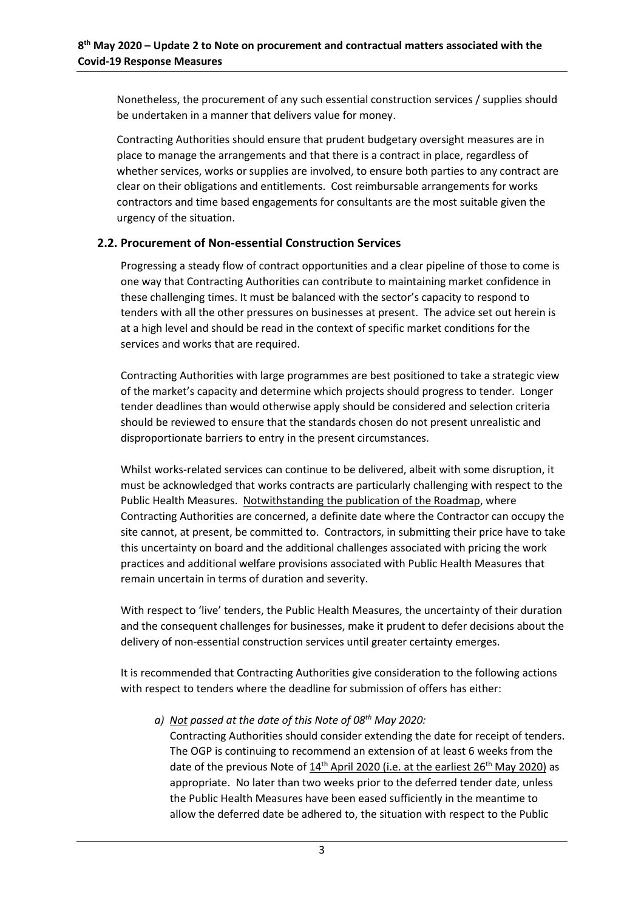Nonetheless, the procurement of any such essential construction services / supplies should be undertaken in a manner that delivers value for money.

Contracting Authorities should ensure that prudent budgetary oversight measures are in place to manage the arrangements and that there is a contract in place, regardless of whether services, works or supplies are involved, to ensure both parties to any contract are clear on their obligations and entitlements. Cost reimbursable arrangements for works contractors and time based engagements for consultants are the most suitable given the urgency of the situation.

### **2.2. Procurement of Non-essential Construction Services**

Progressing a steady flow of contract opportunities and a clear pipeline of those to come is one way that Contracting Authorities can contribute to maintaining market confidence in these challenging times. It must be balanced with the sector's capacity to respond to tenders with all the other pressures on businesses at present. The advice set out herein is at a high level and should be read in the context of specific market conditions for the services and works that are required.

Contracting Authorities with large programmes are best positioned to take a strategic view of the market's capacity and determine which projects should progress to tender. Longer tender deadlines than would otherwise apply should be considered and selection criteria should be reviewed to ensure that the standards chosen do not present unrealistic and disproportionate barriers to entry in the present circumstances.

Whilst works-related services can continue to be delivered, albeit with some disruption, it must be acknowledged that works contracts are particularly challenging with respect to the Public Health Measures. Notwithstanding the publication of the Roadmap, where Contracting Authorities are concerned, a definite date where the Contractor can occupy the site cannot, at present, be committed to. Contractors, in submitting their price have to take this uncertainty on board and the additional challenges associated with pricing the work practices and additional welfare provisions associated with Public Health Measures that remain uncertain in terms of duration and severity.

With respect to 'live' tenders, the Public Health Measures, the uncertainty of their duration and the consequent challenges for businesses, make it prudent to defer decisions about the delivery of non-essential construction services until greater certainty emerges.

It is recommended that Contracting Authorities give consideration to the following actions with respect to tenders where the deadline for submission of offers has either:

*a) Not passed at the date of this Note of 08th May 2020:*

Contracting Authorities should consider extending the date for receipt of tenders. The OGP is continuing to recommend an extension of at least 6 weeks from the date of the previous Note of  $14<sup>th</sup>$  April 2020 (i.e. at the earliest  $26<sup>th</sup>$  May 2020) as appropriate. No later than two weeks prior to the deferred tender date, unless the Public Health Measures have been eased sufficiently in the meantime to allow the deferred date be adhered to, the situation with respect to the Public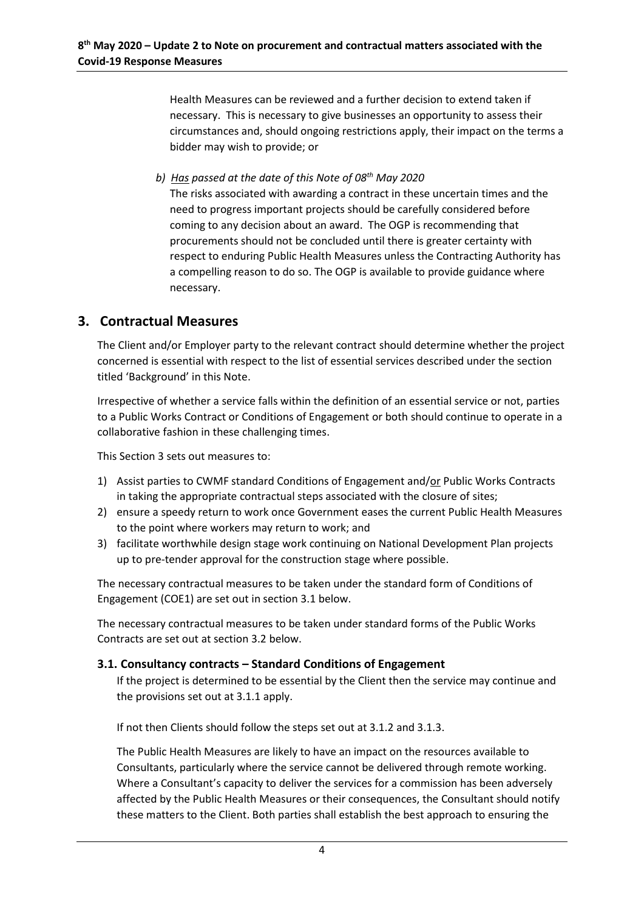Health Measures can be reviewed and a further decision to extend taken if necessary. This is necessary to give businesses an opportunity to assess their circumstances and, should ongoing restrictions apply, their impact on the terms a bidder may wish to provide; or

*b) Has passed at the date of this Note of 08th May 2020*

The risks associated with awarding a contract in these uncertain times and the need to progress important projects should be carefully considered before coming to any decision about an award. The OGP is recommending that procurements should not be concluded until there is greater certainty with respect to enduring Public Health Measures unless the Contracting Authority has a compelling reason to do so. The OGP is available to provide guidance where necessary.

## **3. Contractual Measures**

The Client and/or Employer party to the relevant contract should determine whether the project concerned is essential with respect to the list of essential services described under the section titled 'Background' in this Note.

Irrespective of whether a service falls within the definition of an essential service or not, parties to a Public Works Contract or Conditions of Engagement or both should continue to operate in a collaborative fashion in these challenging times.

This Section 3 sets out measures to:

- 1) Assist parties to CWMF standard Conditions of Engagement and/or Public Works Contracts in taking the appropriate contractual steps associated with the closure of sites;
- 2) ensure a speedy return to work once Government eases the current Public Health Measures to the point where workers may return to work; and
- 3) facilitate worthwhile design stage work continuing on National Development Plan projects up to pre-tender approval for the construction stage where possible.

The necessary contractual measures to be taken under the standard form of Conditions of Engagement (COE1) are set out in section 3.1 below.

The necessary contractual measures to be taken under standard forms of the Public Works Contracts are set out at section 3.2 below.

### **3.1. Consultancy contracts – Standard Conditions of Engagement**

If the project is determined to be essential by the Client then the service may continue and the provisions set out at 3.1.1 apply.

If not then Clients should follow the steps set out at 3.1.2 and 3.1.3.

The Public Health Measures are likely to have an impact on the resources available to Consultants, particularly where the service cannot be delivered through remote working. Where a Consultant's capacity to deliver the services for a commission has been adversely affected by the Public Health Measures or their consequences, the Consultant should notify these matters to the Client. Both parties shall establish the best approach to ensuring the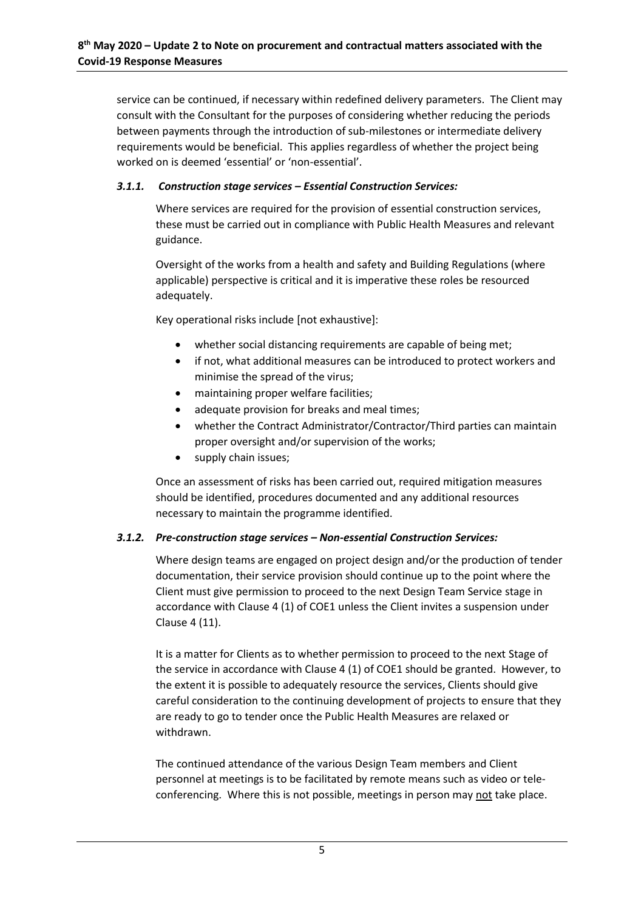service can be continued, if necessary within redefined delivery parameters. The Client may consult with the Consultant for the purposes of considering whether reducing the periods between payments through the introduction of sub-milestones or intermediate delivery requirements would be beneficial. This applies regardless of whether the project being worked on is deemed 'essential' or 'non-essential'.

### *3.1.1. Construction stage services – Essential Construction Services:*

Where services are required for the provision of essential construction services, these must be carried out in compliance with Public Health Measures and relevant guidance.

Oversight of the works from a health and safety and Building Regulations (where applicable) perspective is critical and it is imperative these roles be resourced adequately.

Key operational risks include [not exhaustive]:

- whether social distancing requirements are capable of being met;
- if not, what additional measures can be introduced to protect workers and minimise the spread of the virus;
- maintaining proper welfare facilities;
- adequate provision for breaks and meal times;
- whether the Contract Administrator/Contractor/Third parties can maintain proper oversight and/or supervision of the works;
- supply chain issues;

Once an assessment of risks has been carried out, required mitigation measures should be identified, procedures documented and any additional resources necessary to maintain the programme identified.

### *3.1.2. Pre-construction stage services – Non-essential Construction Services:*

Where design teams are engaged on project design and/or the production of tender documentation, their service provision should continue up to the point where the Client must give permission to proceed to the next Design Team Service stage in accordance with Clause 4 (1) of COE1 unless the Client invites a suspension under Clause 4 (11).

It is a matter for Clients as to whether permission to proceed to the next Stage of the service in accordance with Clause 4 (1) of COE1 should be granted. However, to the extent it is possible to adequately resource the services, Clients should give careful consideration to the continuing development of projects to ensure that they are ready to go to tender once the Public Health Measures are relaxed or withdrawn.

The continued attendance of the various Design Team members and Client personnel at meetings is to be facilitated by remote means such as video or teleconferencing. Where this is not possible, meetings in person may not take place.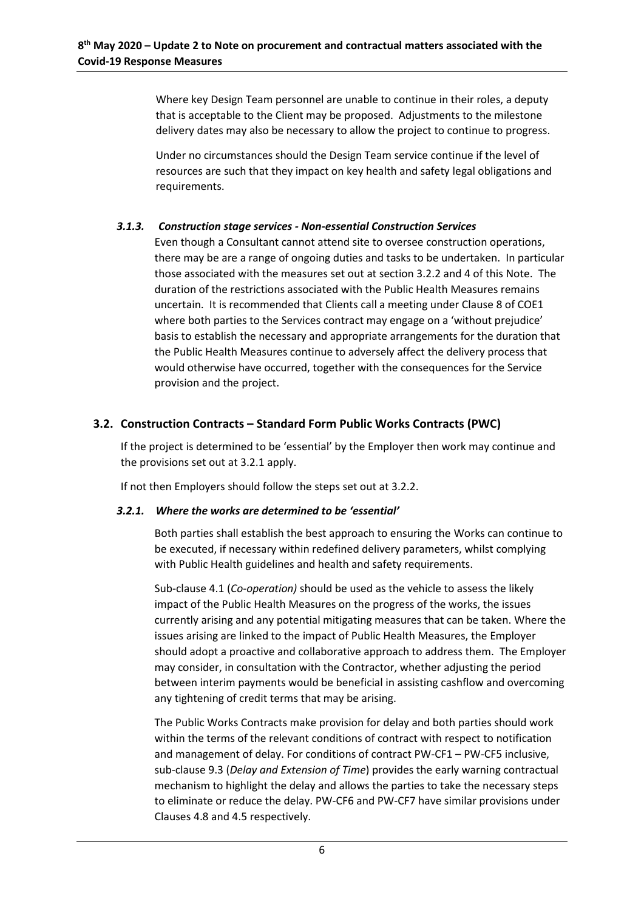Where key Design Team personnel are unable to continue in their roles, a deputy that is acceptable to the Client may be proposed. Adjustments to the milestone delivery dates may also be necessary to allow the project to continue to progress.

Under no circumstances should the Design Team service continue if the level of resources are such that they impact on key health and safety legal obligations and requirements.

### *3.1.3. Construction stage services - Non-essential Construction Services*

Even though a Consultant cannot attend site to oversee construction operations, there may be are a range of ongoing duties and tasks to be undertaken. In particular those associated with the measures set out at section 3.2.2 and 4 of this Note. The duration of the restrictions associated with the Public Health Measures remains uncertain. It is recommended that Clients call a meeting under Clause 8 of COE1 where both parties to the Services contract may engage on a 'without prejudice' basis to establish the necessary and appropriate arrangements for the duration that the Public Health Measures continue to adversely affect the delivery process that would otherwise have occurred, together with the consequences for the Service provision and the project.

## **3.2. Construction Contracts – Standard Form Public Works Contracts (PWC)**

If the project is determined to be 'essential' by the Employer then work may continue and the provisions set out at 3.2.1 apply.

If not then Employers should follow the steps set out at 3.2.2.

### *3.2.1. Where the works are determined to be 'essential'*

Both parties shall establish the best approach to ensuring the Works can continue to be executed, if necessary within redefined delivery parameters, whilst complying with Public Health guidelines and health and safety requirements.

Sub-clause 4.1 (*Co-operation)* should be used as the vehicle to assess the likely impact of the Public Health Measures on the progress of the works, the issues currently arising and any potential mitigating measures that can be taken. Where the issues arising are linked to the impact of Public Health Measures, the Employer should adopt a proactive and collaborative approach to address them. The Employer may consider, in consultation with the Contractor, whether adjusting the period between interim payments would be beneficial in assisting cashflow and overcoming any tightening of credit terms that may be arising.

The Public Works Contracts make provision for delay and both parties should work within the terms of the relevant conditions of contract with respect to notification and management of delay. For conditions of contract PW-CF1 – PW-CF5 inclusive, sub-clause 9.3 (*Delay and Extension of Time*) provides the early warning contractual mechanism to highlight the delay and allows the parties to take the necessary steps to eliminate or reduce the delay. PW-CF6 and PW-CF7 have similar provisions under Clauses 4.8 and 4.5 respectively.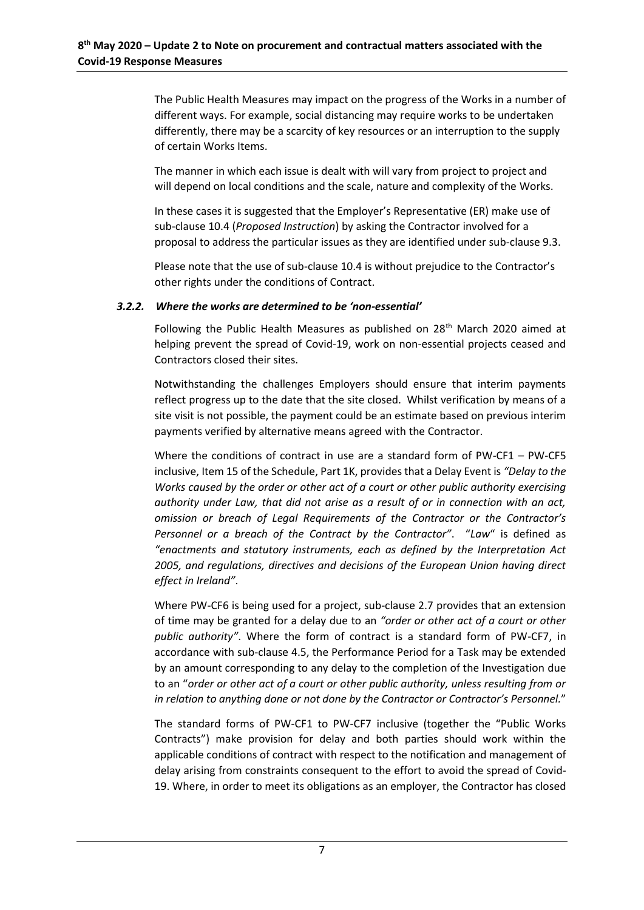The Public Health Measures may impact on the progress of the Works in a number of different ways. For example, social distancing may require works to be undertaken differently, there may be a scarcity of key resources or an interruption to the supply of certain Works Items.

The manner in which each issue is dealt with will vary from project to project and will depend on local conditions and the scale, nature and complexity of the Works.

In these cases it is suggested that the Employer's Representative (ER) make use of sub-clause 10.4 (*Proposed Instruction*) by asking the Contractor involved for a proposal to address the particular issues as they are identified under sub-clause 9.3.

Please note that the use of sub-clause 10.4 is without prejudice to the Contractor's other rights under the conditions of Contract.

### *3.2.2. Where the works are determined to be 'non-essential'*

Following the Public Health Measures as published on 28<sup>th</sup> March 2020 aimed at helping prevent the spread of Covid-19, work on non-essential projects ceased and Contractors closed their sites.

Notwithstanding the challenges Employers should ensure that interim payments reflect progress up to the date that the site closed. Whilst verification by means of a site visit is not possible, the payment could be an estimate based on previous interim payments verified by alternative means agreed with the Contractor.

Where the conditions of contract in use are a standard form of PW-CF1 – PW-CF5 inclusive, Item 15 of the Schedule, Part 1K, provides that a Delay Event is *"Delay to the Works caused by the order or other act of a court or other public authority exercising authority under Law, that did not arise as a result of or in connection with an act, omission or breach of Legal Requirements of the Contractor or the Contractor's Personnel or a breach of the Contract by the Contractor"*. "*Law*" is defined as *"enactments and statutory instruments, each as defined by the Interpretation Act 2005, and regulations, directives and decisions of the European Union having direct effect in Ireland"*.

Where PW-CF6 is being used for a project, sub-clause 2.7 provides that an extension of time may be granted for a delay due to an *"order or other act of a court or other public authority"*. Where the form of contract is a standard form of PW-CF7, in accordance with sub-clause 4.5, the Performance Period for a Task may be extended by an amount corresponding to any delay to the completion of the Investigation due to an "*order or other act of a court or other public authority, unless resulting from or in relation to anything done or not done by the Contractor or Contractor's Personnel.*"

The standard forms of PW-CF1 to PW-CF7 inclusive (together the "Public Works Contracts") make provision for delay and both parties should work within the applicable conditions of contract with respect to the notification and management of delay arising from constraints consequent to the effort to avoid the spread of Covid-19. Where, in order to meet its obligations as an employer, the Contractor has closed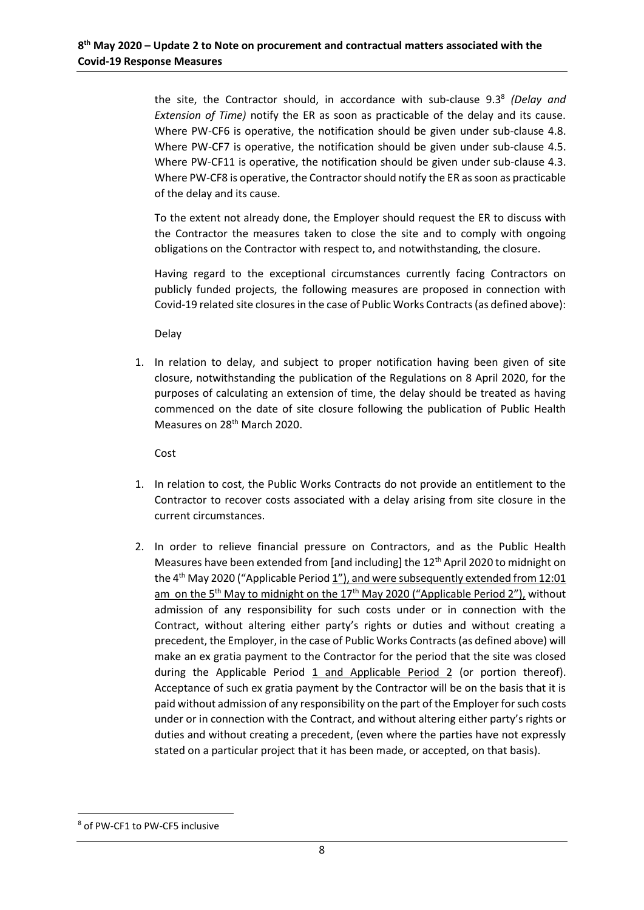the site, the Contractor should, in accordance with sub-clause 9.3<sup>8</sup> (Delay and *Extension of Time)* notify the ER as soon as practicable of the delay and its cause. Where PW-CF6 is operative, the notification should be given under sub-clause 4.8. Where PW-CF7 is operative, the notification should be given under sub-clause 4.5. Where PW-CF11 is operative, the notification should be given under sub-clause 4.3. Where PW-CF8 is operative, the Contractor should notify the ER as soon as practicable of the delay and its cause.

To the extent not already done, the Employer should request the ER to discuss with the Contractor the measures taken to close the site and to comply with ongoing obligations on the Contractor with respect to, and notwithstanding, the closure.

Having regard to the exceptional circumstances currently facing Contractors on publicly funded projects, the following measures are proposed in connection with Covid-19 related site closures in the case of Public Works Contracts (as defined above):

Delay

1. In relation to delay, and subject to proper notification having been given of site closure, notwithstanding the publication of the Regulations on 8 April 2020, for the purposes of calculating an extension of time, the delay should be treated as having commenced on the date of site closure following the publication of Public Health Measures on 28<sup>th</sup> March 2020.

Cost

- 1. In relation to cost, the Public Works Contracts do not provide an entitlement to the Contractor to recover costs associated with a delay arising from site closure in the current circumstances.
- 2. In order to relieve financial pressure on Contractors, and as the Public Health Measures have been extended from [and including] the 12<sup>th</sup> April 2020 to midnight on the 4<sup>th</sup> May 2020 ("Applicable Period 1"), and were subsequently extended from 12:01 am on the 5<sup>th</sup> May to midnight on the 17<sup>th</sup> May 2020 ("Applicable Period 2"), without admission of any responsibility for such costs under or in connection with the Contract, without altering either party's rights or duties and without creating a precedent, the Employer, in the case of Public Works Contracts (as defined above) will make an ex gratia payment to the Contractor for the period that the site was closed during the Applicable Period 1 and Applicable Period 2 (or portion thereof). Acceptance of such ex gratia payment by the Contractor will be on the basis that it is paid without admission of any responsibility on the part of the Employer for such costs under or in connection with the Contract, and without altering either party's rights or duties and without creating a precedent, (even where the parties have not expressly stated on a particular project that it has been made, or accepted, on that basis).

**.** 

<sup>8</sup> of PW-CF1 to PW-CF5 inclusive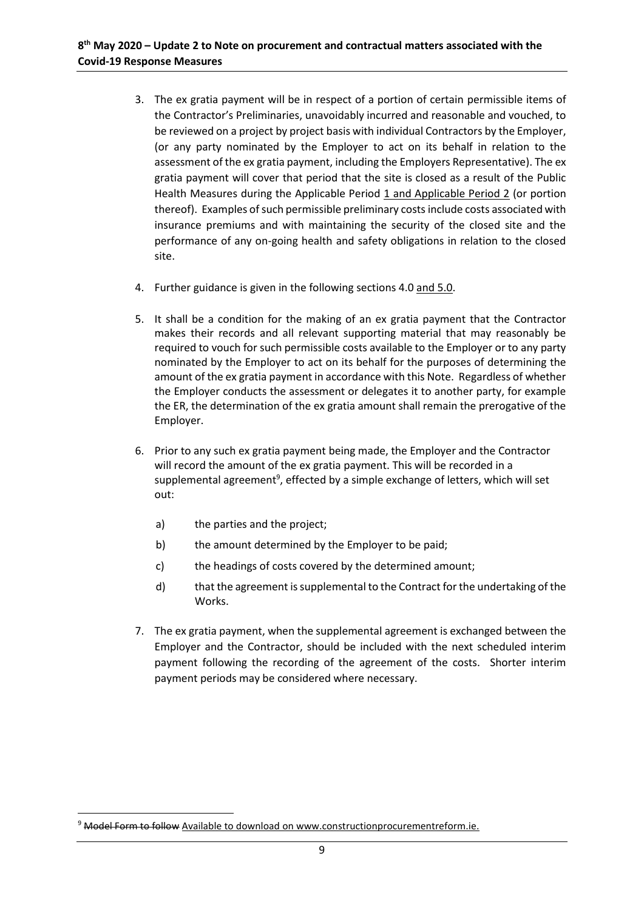- 3. The ex gratia payment will be in respect of a portion of certain permissible items of the Contractor's Preliminaries, unavoidably incurred and reasonable and vouched, to be reviewed on a project by project basis with individual Contractors by the Employer, (or any party nominated by the Employer to act on its behalf in relation to the assessment of the ex gratia payment, including the Employers Representative). The ex gratia payment will cover that period that the site is closed as a result of the Public Health Measures during the Applicable Period 1 and Applicable Period 2 (or portion thereof). Examples of such permissible preliminary costs include costs associated with insurance premiums and with maintaining the security of the closed site and the performance of any on-going health and safety obligations in relation to the closed site.
- 4. Further guidance is given in the following sections 4.0 and 5.0.
- 5. It shall be a condition for the making of an ex gratia payment that the Contractor makes their records and all relevant supporting material that may reasonably be required to vouch for such permissible costs available to the Employer or to any party nominated by the Employer to act on its behalf for the purposes of determining the amount of the ex gratia payment in accordance with this Note. Regardless of whether the Employer conducts the assessment or delegates it to another party, for example the ER, the determination of the ex gratia amount shall remain the prerogative of the Employer.
- 6. Prior to any such ex gratia payment being made, the Employer and the Contractor will record the amount of the ex gratia payment. This will be recorded in a supplemental agreement<sup>9</sup>, effected by a simple exchange of letters, which will set out:
	- a) the parties and the project;
	- b) the amount determined by the Employer to be paid;
	- c) the headings of costs covered by the determined amount;
	- d) that the agreement is supplemental to the Contract for the undertaking of the Works.
- 7. The ex gratia payment, when the supplemental agreement is exchanged between the Employer and the Contractor, should be included with the next scheduled interim payment following the recording of the agreement of the costs. Shorter interim payment periods may be considered where necessary.

**.** 

<sup>&</sup>lt;sup>9</sup> Model Form to follow Available to download on www.constructionprocurementreform.ie.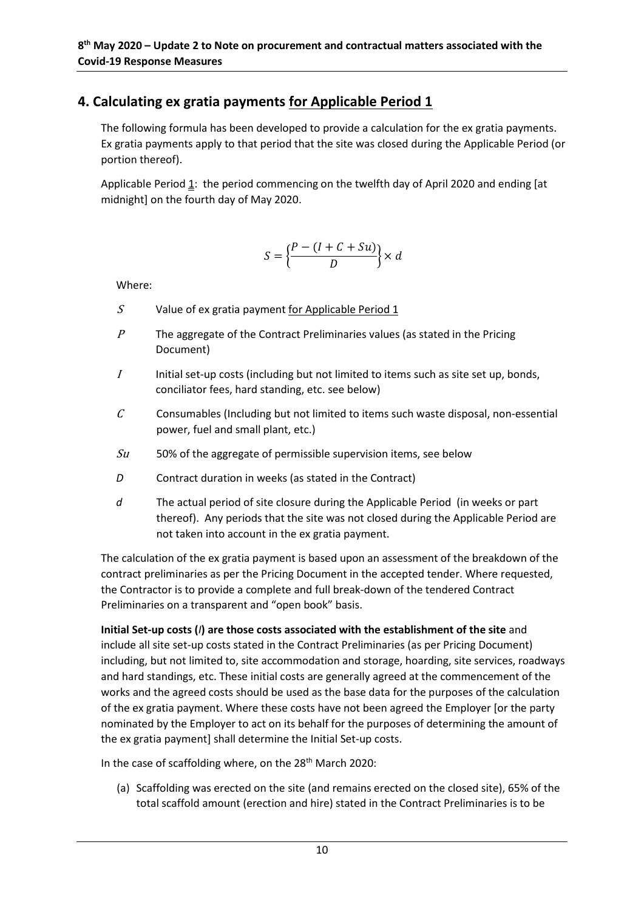# **4. Calculating ex gratia payments for Applicable Period 1**

The following formula has been developed to provide a calculation for the ex gratia payments. Ex gratia payments apply to that period that the site was closed during the Applicable Period (or portion thereof).

Applicable Period 1: the period commencing on the twelfth day of April 2020 and ending [at midnight] on the fourth day of May 2020.

$$
S = \left\{ \frac{P - (I + C + Su)}{D} \right\} \times d
$$

Where:

- $S$  Value of ex gratia payment for Applicable Period 1
- $P$  The aggregate of the Contract Preliminaries values (as stated in the Pricing Document)
- $I$  Initial set-up costs (including but not limited to items such as site set up, bonds, conciliator fees, hard standing, etc. see below)
- $C$  Consumables (Including but not limited to items such waste disposal, non-essential power, fuel and small plant, etc.)
- $Su$  50% of the aggregate of permissible supervision items, see below
- *D* Contract duration in weeks (as stated in the Contract)
- *d* The actual period of site closure during the Applicable Period (in weeks or part thereof). Any periods that the site was not closed during the Applicable Period are not taken into account in the ex gratia payment.

The calculation of the ex gratia payment is based upon an assessment of the breakdown of the contract preliminaries as per the Pricing Document in the accepted tender. Where requested, the Contractor is to provide a complete and full break-down of the tendered Contract Preliminaries on a transparent and "open book" basis.

## **Initial Set-up costs (***I***) are those costs associated with the establishment of the site** and include all site set-up costs stated in the Contract Preliminaries (as per Pricing Document) including, but not limited to, site accommodation and storage, hoarding, site services, roadways and hard standings, etc. These initial costs are generally agreed at the commencement of the works and the agreed costs should be used as the base data for the purposes of the calculation of the ex gratia payment. Where these costs have not been agreed the Employer [or the party nominated by the Employer to act on its behalf for the purposes of determining the amount of the ex gratia payment] shall determine the Initial Set-up costs.

In the case of scaffolding where, on the  $28<sup>th</sup>$  March 2020:

(a) Scaffolding was erected on the site (and remains erected on the closed site), 65% of the total scaffold amount (erection and hire) stated in the Contract Preliminaries is to be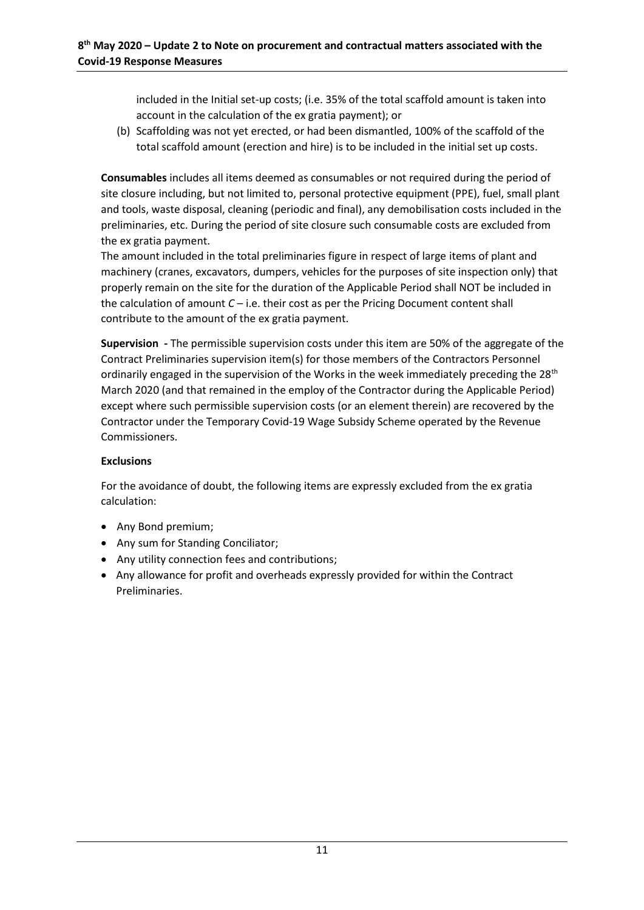included in the Initial set-up costs; (i.e. 35% of the total scaffold amount is taken into account in the calculation of the ex gratia payment); or

(b) Scaffolding was not yet erected, or had been dismantled, 100% of the scaffold of the total scaffold amount (erection and hire) is to be included in the initial set up costs.

**Consumables** includes all items deemed as consumables or not required during the period of site closure including, but not limited to, personal protective equipment (PPE), fuel, small plant and tools, waste disposal, cleaning (periodic and final), any demobilisation costs included in the preliminaries, etc. During the period of site closure such consumable costs are excluded from the ex gratia payment.

The amount included in the total preliminaries figure in respect of large items of plant and machinery (cranes, excavators, dumpers, vehicles for the purposes of site inspection only) that properly remain on the site for the duration of the Applicable Period shall NOT be included in the calculation of amount *C* – i.e. their cost as per the Pricing Document content shall contribute to the amount of the ex gratia payment.

**Supervision -** The permissible supervision costs under this item are 50% of the aggregate of the Contract Preliminaries supervision item(s) for those members of the Contractors Personnel ordinarily engaged in the supervision of the Works in the week immediately preceding the  $28<sup>th</sup>$ March 2020 (and that remained in the employ of the Contractor during the Applicable Period) except where such permissible supervision costs (or an element therein) are recovered by the Contractor under the Temporary Covid-19 Wage Subsidy Scheme operated by the Revenue Commissioners.

## **Exclusions**

For the avoidance of doubt, the following items are expressly excluded from the ex gratia calculation:

- Any Bond premium;
- Any sum for Standing Conciliator;
- Any utility connection fees and contributions;
- Any allowance for profit and overheads expressly provided for within the Contract Preliminaries.